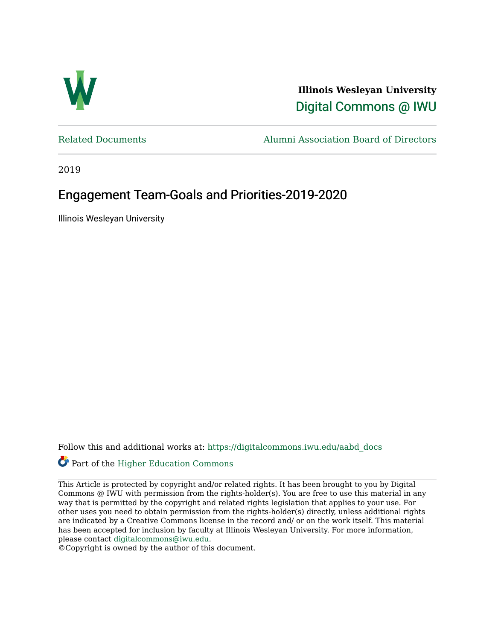

**Illinois Wesleyan University**  [Digital Commons @ IWU](https://digitalcommons.iwu.edu/) 

[Related Documents](https://digitalcommons.iwu.edu/aabd_docs) [Alumni Association Board of Directors](https://digitalcommons.iwu.edu/alumni_aabd) 

2019

### Engagement Team-Goals and Priorities-2019-2020

Illinois Wesleyan University

Follow this and additional works at: [https://digitalcommons.iwu.edu/aabd\\_docs](https://digitalcommons.iwu.edu/aabd_docs?utm_source=digitalcommons.iwu.edu%2Faabd_docs%2F18&utm_medium=PDF&utm_campaign=PDFCoverPages) 

### Part of the [Higher Education Commons](https://network.bepress.com/hgg/discipline/1245?utm_source=digitalcommons.iwu.edu%2Faabd_docs%2F18&utm_medium=PDF&utm_campaign=PDFCoverPages)

This Article is protected by copyright and/or related rights. It has been brought to you by Digital Commons @ IWU with permission from the rights-holder(s). You are free to use this material in any way that is permitted by the copyright and related rights legislation that applies to your use. For other uses you need to obtain permission from the rights-holder(s) directly, unless additional rights are indicated by a Creative Commons license in the record and/ or on the work itself. This material has been accepted for inclusion by faculty at Illinois Wesleyan University. For more information, please contact [digitalcommons@iwu.edu.](mailto:digitalcommons@iwu.edu)

©Copyright is owned by the author of this document.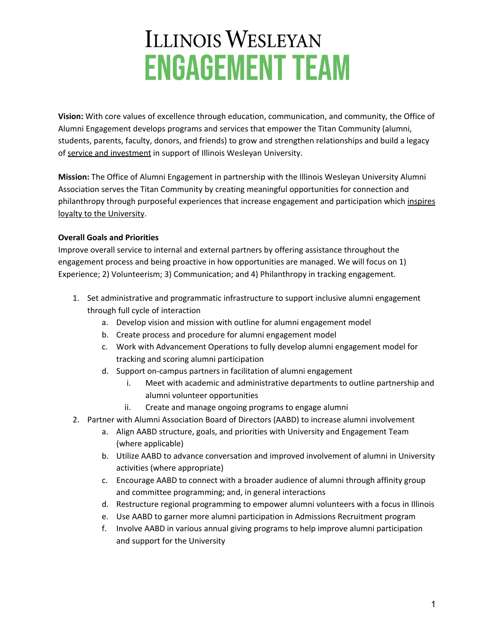**Vision:** With core values of excellence through education, communication, and community, the Office of Alumni Engagement develops programs and services that empower the Titan Community (alumni, students, parents, faculty, donors, and friends) to grow and strengthen relationships and build a legacy of service and investment in support of Illinois Wesleyan University.

**Mission:** The Office of Alumni Engagement in partnership with the Illinois Wesleyan University Alumni Association serves the Titan Community by creating meaningful opportunities for connection and philanthropy through purposeful experiences that increase engagement and participation which inspires loyalty to the University.

#### **Overall Goals and Priorities**

Improve overall service to internal and external partners by offering assistance throughout the engagement process and being proactive in how opportunities are managed. We will focus on 1) Experience; 2) Volunteerism; 3) Communication; and 4) Philanthropy in tracking engagement.

- 1. Set administrative and programmatic infrastructure to support inclusive alumni engagement through full cycle of interaction
	- a. Develop vision and mission with outline for alumni engagement model
	- b. Create process and procedure for alumni engagement model
	- c. Work with Advancement Operations to fully develop alumni engagement model for tracking and scoring alumni participation
	- d. Support on-campus partners in facilitation of alumni engagement
		- i. Meet with academic and administrative departments to outline partnership and alumni volunteer opportunities
		- ii. Create and manage ongoing programs to engage alumni
- 2. Partner with Alumni Association Board of Directors (AABD) to increase alumni involvement
	- a. Align AABD structure, goals, and priorities with University and Engagement Team (where applicable)
	- b. Utilize AABD to advance conversation and improved involvement of alumni in University activities (where appropriate)
	- c. Encourage AABD to connect with a broader audience of alumni through affinity group and committee programming; and, in general interactions
	- d. Restructure regional programming to empower alumni volunteers with a focus in Illinois
	- e. Use AABD to garner more alumni participation in Admissions Recruitment program
	- f. Involve AABD in various annual giving programs to help improve alumni participation and support for the University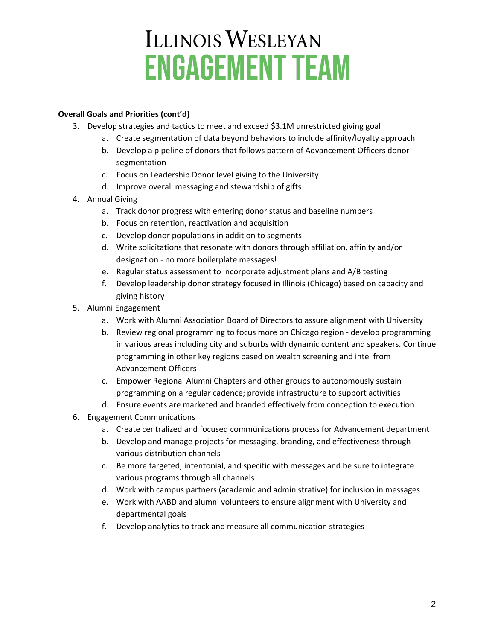#### **Overall Goals and Priorities (cont'd)**

- 3. Develop strategies and tactics to meet and exceed \$3.1M unrestricted giving goal
	- a. Create segmentation of data beyond behaviors to include affinity/loyalty approach
	- b. Develop a pipeline of donors that follows pattern of Advancement Officers donor segmentation
	- c. Focus on Leadership Donor level giving to the University
	- d. Improve overall messaging and stewardship of gifts
- 4. Annual Giving
	- a. Track donor progress with entering donor status and baseline numbers
	- b. Focus on retention, reactivation and acquisition
	- c. Develop donor populations in addition to segments
	- d. Write solicitations that resonate with donors through affiliation, affinity and/or designation - no more boilerplate messages!
	- e. Regular status assessment to incorporate adjustment plans and A/B testing
	- f. Develop leadership donor strategy focused in Illinois (Chicago) based on capacity and giving history
- 5. Alumni Engagement
	- a. Work with Alumni Association Board of Directors to assure alignment with University
	- b. Review regional programming to focus more on Chicago region develop programming in various areas including city and suburbs with dynamic content and speakers. Continue programming in other key regions based on wealth screening and intel from Advancement Officers
	- c. Empower Regional Alumni Chapters and other groups to autonomously sustain programming on a regular cadence; provide infrastructure to support activities
	- d. Ensure events are marketed and branded effectively from conception to execution
- 6. Engagement Communications
	- a. Create centralized and focused communications process for Advancement department
	- b. Develop and manage projects for messaging, branding, and effectiveness through various distribution channels
	- c. Be more targeted, intentonial, and specific with messages and be sure to integrate various programs through all channels
	- d. Work with campus partners (academic and administrative) for inclusion in messages
	- e. Work with AABD and alumni volunteers to ensure alignment with University and departmental goals
	- f. Develop analytics to track and measure all communication strategies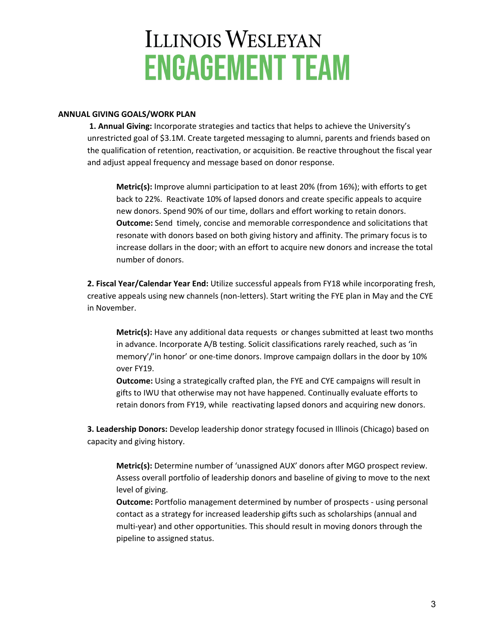#### **ANNUAL GIVING GOALS/WORK PLAN**

**1. Annual Giving:** Incorporate strategies and tactics that helps to achieve the University's unrestricted goal of \$3.1M. Create targeted messaging to alumni, parents and friends based on the qualification of retention, reactivation, or acquisition. Be reactive throughout the fiscal year and adjust appeal frequency and message based on donor response.

**Metric(s):** Improve alumni participation to at least 20% (from 16%); with efforts to get back to 22%. Reactivate 10% of lapsed donors and create specific appeals to acquire new donors. Spend 90% of our time, dollars and effort working to retain donors. **Outcome:** Send timely, concise and memorable correspondence and solicitations that resonate with donors based on both giving history and affinity. The primary focus is to increase dollars in the door; with an effort to acquire new donors and increase the total number of donors.

**2. Fiscal Year/Calendar Year End:** Utilize successful appeals from FY18 while incorporating fresh, creative appeals using new channels (non-letters). Start writing the FYE plan in May and the CYE in November.

**Metric(s):** Have any additional data requests or changes submitted at least two months in advance. Incorporate A/B testing. Solicit classifications rarely reached, such as 'in memory'/'in honor' or one-time donors. Improve campaign dollars in the door by 10% over FY19.

**Outcome:** Using a strategically crafted plan, the FYE and CYE campaigns will result in gifts to IWU that otherwise may not have happened. Continually evaluate efforts to retain donors from FY19, while reactivating lapsed donors and acquiring new donors.

**3. Leadership Donors:** Develop leadership donor strategy focused in Illinois (Chicago) based on capacity and giving history.

**Metric(s):** Determine number of 'unassigned AUX' donors after MGO prospect review. Assess overall portfolio of leadership donors and baseline of giving to move to the next level of giving.

**Outcome:** Portfolio management determined by number of prospects - using personal contact as a strategy for increased leadership gifts such as scholarships (annual and multi-year) and other opportunities. This should result in moving donors through the pipeline to assigned status.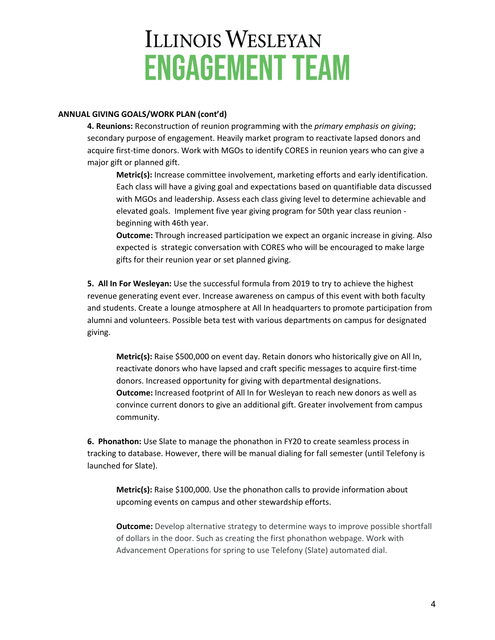#### **ANNUAL GIVING GOALS/WORK PLAN (cont'd)**

**4. Reunions:** Reconstruction of reunion programming with the *primary emphasis on giving*; secondary purpose of engagement. Heavily market program to reactivate lapsed donors and acquire first-time donors. Work with MGOs to identify CORES in reunion years who can give a major gift or planned gift.

**Metric(s):** Increase committee involvement, marketing efforts and early identification. Each class will have a giving goal and expectations based on quantifiable data discussed with MGOs and leadership. Assess each class giving level to determine achievable and elevated goals. Implement five year giving program for 50th year class reunion beginning with 46th year.

**Outcome:** Through increased participation we expect an organic increase in giving. Also expected is strategic conversation with CORES who will be encouraged to make large gifts for their reunion year or set planned giving.

**5. All In For Wesleyan:** Use the successful formula from 2019 to try to achieve the highest revenue generating event ever. Increase awareness on campus of this event with both faculty and students. Create a lounge atmosphere at All In headquarters to promote participation from alumni and volunteers. Possible beta test with various departments on campus for designated giving.

**Metric(s):** Raise \$500,000 on event day. Retain donors who historically give on All In, reactivate donors who have lapsed and craft specific messages to acquire first-time donors. Increased opportunity for giving with departmental designations. **Outcome:** Increased footprint of All In for Wesleyan to reach new donors as well as convince current donors to give an additional gift. Greater involvement from campus community.

**6. Phonathon:** Use Slate to manage the phonathon in FY20 to create seamless process in tracking to database. However, there will be manual dialing for fall semester (until Telefony is launched for Slate).

**Metric(s):** Raise \$100,000. Use the phonathon calls to provide information about upcoming events on campus and other stewardship efforts.

**Outcome:** Develop alternative strategy to determine ways to improve possible shortfall of dollars in the door. Such as creating the first phonathon webpage. Work with Advancement Operations for spring to use Telefony (Slate) automated dial.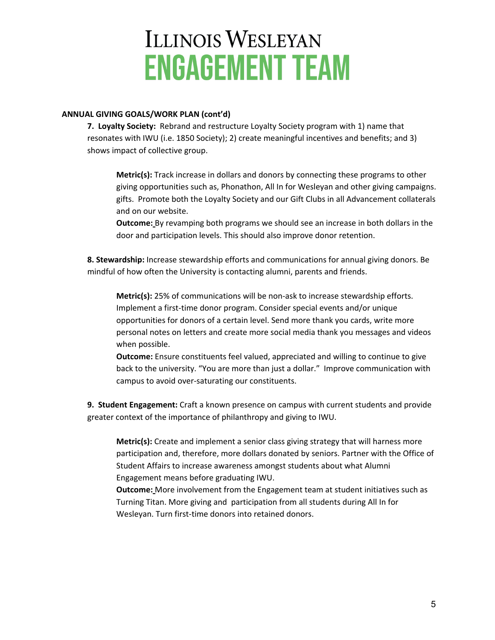#### **ANNUAL GIVING GOALS/WORK PLAN (cont'd)**

**7. Loyalty Society:** Rebrand and restructure Loyalty Society program with 1) name that resonates with IWU (i.e. 1850 Society); 2) create meaningful incentives and benefits; and 3) shows impact of collective group.

**Metric(s):** Track increase in dollars and donors by connecting these programs to other giving opportunities such as, Phonathon, All In for Wesleyan and other giving campaigns. gifts. Promote both the Loyalty Society and our Gift Clubs in all Advancement collaterals and on our website.

**Outcome:** By revamping both programs we should see an increase in both dollars in the door and participation levels. This should also improve donor retention.

**8. Stewardship:** Increase stewardship efforts and communications for annual giving donors. Be mindful of how often the University is contacting alumni, parents and friends.

**Metric(s):** 25% of communications will be non-ask to increase stewardship efforts. Implement a first-time donor program. Consider special events and/or unique opportunities for donors of a certain level. Send more thank you cards, write more personal notes on letters and create more social media thank you messages and videos when possible.

**Outcome:** Ensure constituents feel valued, appreciated and willing to continue to give back to the university. "You are more than just a dollar." Improve communication with campus to avoid over-saturating our constituents.

**9. Student Engagement:** Craft a known presence on campus with current students and provide greater context of the importance of philanthropy and giving to IWU.

**Metric(s):** Create and implement a senior class giving strategy that will harness more participation and, therefore, more dollars donated by seniors. Partner with the Office of Student Affairs to increase awareness amongst students about what Alumni Engagement means before graduating IWU.

**Outcome:** More involvement from the Engagement team at student initiatives such as Turning Titan. More giving and participation from all students during All In for Wesleyan. Turn first-time donors into retained donors.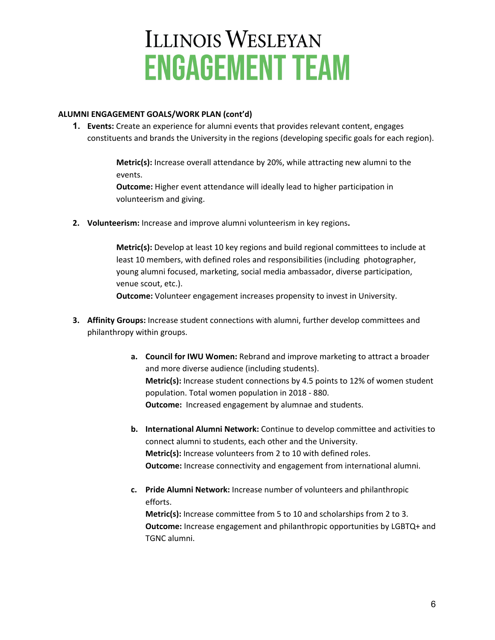#### **ALUMNI ENGAGEMENT GOALS/WORK PLAN (cont'd)**

**1. Events:** Create an experience for alumni events that provides relevant content, engages constituents and brands the University in the regions (developing specific goals for each region).

> **Metric(s):** Increase overall attendance by 20%, while attracting new alumni to the events.

**Outcome:** Higher event attendance will ideally lead to higher participation in volunteerism and giving.

**2. Volunteerism:** Increase and improve alumni volunteerism in key regions**.**

**Metric(s):** Develop at least 10 key regions and build regional committees to include at least 10 members, with defined roles and responsibilities (including photographer, young alumni focused, marketing, social media ambassador, diverse participation, venue scout, etc.).

**Outcome:** Volunteer engagement increases propensity to invest in University.

- **3. Affinity Groups:** Increase student connections with alumni, further develop committees and philanthropy within groups.
	- **a. Council for IWU Women:** Rebrand and improve marketing to attract a broader and more diverse audience (including students). **Metric(s):** Increase student connections by 4.5 points to 12% of women student population. Total women population in 2018 - 880. **Outcome:** Increased engagement by alumnae and students.
	- **b. International Alumni Network:** Continue to develop committee and activities to connect alumni to students, each other and the University. **Metric(s):** Increase volunteers from 2 to 10 with defined roles. **Outcome:** Increase connectivity and engagement from international alumni.
	- **c. Pride Alumni Network:** Increase number of volunteers and philanthropic efforts. **Metric(s):** Increase committee from 5 to 10 and scholarships from 2 to 3. **Outcome:** Increase engagement and philanthropic opportunities by LGBTQ+ and TGNC alumni.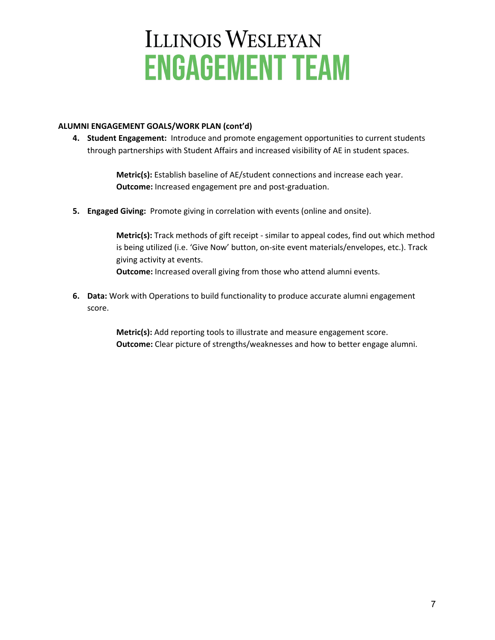#### **ALUMNI ENGAGEMENT GOALS/WORK PLAN (cont'd)**

**4. Student Engagement:** Introduce and promote engagement opportunities to current students through partnerships with Student Affairs and increased visibility of AE in student spaces.

> **Metric(s):** Establish baseline of AE/student connections and increase each year. **Outcome:** Increased engagement pre and post-graduation.

**5. Engaged Giving:** Promote giving in correlation with events (online and onsite).

**Metric(s):** Track methods of gift receipt - similar to appeal codes, find out which method is being utilized (i.e. 'Give Now' button, on-site event materials/envelopes, etc.). Track giving activity at events. **Outcome:** Increased overall giving from those who attend alumni events.

**6. Data:** Work with Operations to build functionality to produce accurate alumni engagement score.

> **Metric(s):** Add reporting tools to illustrate and measure engagement score. **Outcome:** Clear picture of strengths/weaknesses and how to better engage alumni.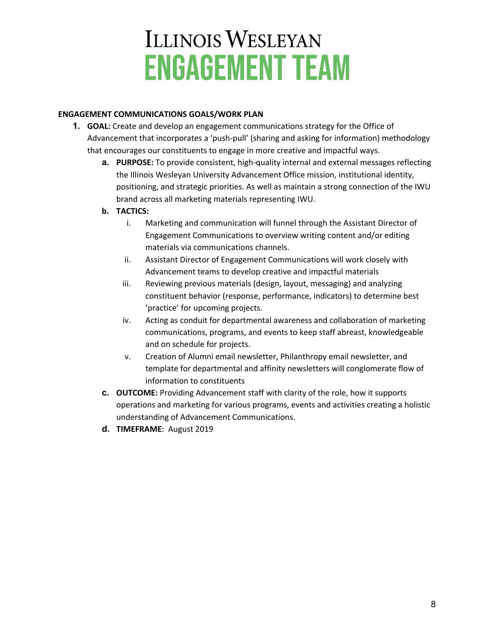#### **ENGAGEMENT COMMUNICATIONS GOALS/WORK PLAN**

- **1. GOAL:** Create and develop an engagement communications strategy for the Office of Advancement that incorporates a 'push-pull' (sharing and asking for information) methodology that encourages our constituents to engage in more creative and impactful ways.
	- **a. PURPOSE:** To provide consistent, high-quality internal and external messages reflecting the Illinois Wesleyan University Advancement Office mission, institutional identity, positioning, and strategic priorities. As well as maintain a strong connection of the IWU brand across all marketing materials representing IWU.
	- **b. TACTICS:**
		- i. Marketing and communication will funnel through the Assistant Director of Engagement Communications to overview writing content and/or editing materials via communications channels.
		- ii. Assistant Director of Engagement Communications will work closely with Advancement teams to develop creative and impactful materials
		- iii. Reviewing previous materials (design, layout, messaging) and analyzing constituent behavior (response, performance, indicators) to determine best 'practice' for upcoming projects.
		- iv. Acting as conduit for departmental awareness and collaboration of marketing communications, programs, and events to keep staff abreast, knowledgeable and on schedule for projects.
		- v. Creation of Alumni email newsletter, Philanthropy email newsletter, and template for departmental and affinity newsletters will conglomerate flow of information to constituents
	- **c. OUTCOME:** Providing Advancement staff with clarity of the role, how it supports operations and marketing for various programs, events and activities creating a holistic understanding of Advancement Communications.
	- **d. TIMEFRAME**: August 2019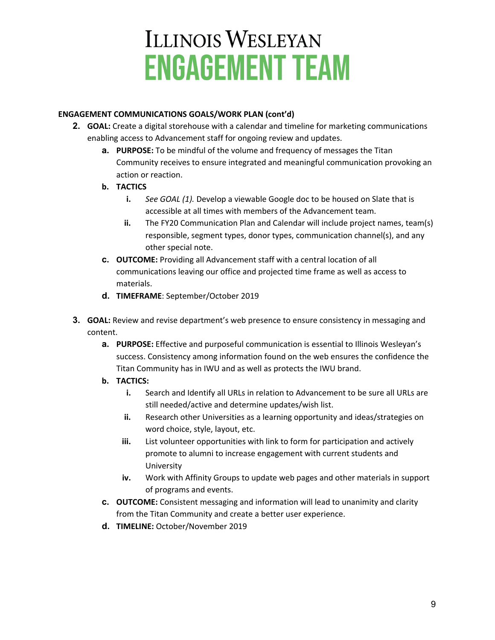#### **ENGAGEMENT COMMUNICATIONS GOALS/WORK PLAN (cont'd)**

- **2. GOAL:** Create a digital storehouse with a calendar and timeline for marketing communications enabling access to Advancement staff for ongoing review and updates.
	- **a. PURPOSE:** To be mindful of the volume and frequency of messages the Titan Community receives to ensure integrated and meaningful communication provoking an action or reaction.
	- **b. TACTICS**
		- **i.** *See GOAL (1).* Develop a viewable Google doc to be housed on Slate that is accessible at all times with members of the Advancement team.
		- **ii.** The FY20 Communication Plan and Calendar will include project names, team(s) responsible, segment types, donor types, communication channel(s), and any other special note.
	- **c. OUTCOME:** Providing all Advancement staff with a central location of all communications leaving our office and projected time frame as well as access to materials.
	- **d. TIMEFRAME**: September/October 2019
- **3. GOAL:** Review and revise department's web presence to ensure consistency in messaging and content.
	- **a. PURPOSE:** Effective and purposeful communication is essential to Illinois Wesleyan's success. Consistency among information found on the web ensures the confidence the Titan Community has in IWU and as well as protects the IWU brand.
	- **b. TACTICS:**
		- **i.** Search and Identify all URLs in relation to Advancement to be sure all URLs are still needed/active and determine updates/wish list.
		- **ii.** Research other Universities as a learning opportunity and ideas/strategies on word choice, style, layout, etc.
		- **iii.** List volunteer opportunities with link to form for participation and actively promote to alumni to increase engagement with current students and University
		- **iv.** Work with Affinity Groups to update web pages and other materials in support of programs and events.
	- **c. OUTCOME:** Consistent messaging and information will lead to unanimity and clarity from the Titan Community and create a better user experience.
	- **d. TIMELINE:** October/November 2019